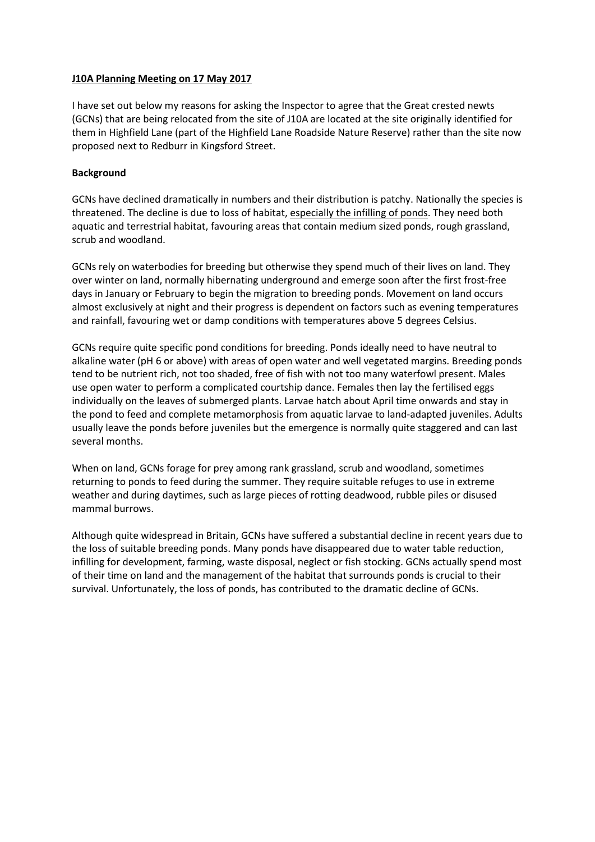## **J10A Planning Meeting on 17 May 2017**

I have set out below my reasons for asking the Inspector to agree that the Great crested newts (GCNs) that are being relocated from the site of J10A are located at the site originally identified for them in Highfield Lane (part of the Highfield Lane Roadside Nature Reserve) rather than the site now proposed next to Redburr in Kingsford Street.

## **Background**

GCNs have declined dramatically in numbers and their distribution is patchy. Nationally the species is threatened. The decline is due to loss of habitat, especially the infilling of ponds. They need both aquatic and terrestrial habitat, favouring areas that contain medium sized ponds, rough grassland, scrub and woodland.

GCNs rely on waterbodies for breeding but otherwise they spend much of their lives on land. They over winter on land, normally hibernating underground and emerge soon after the first frost-free days in January or February to begin the migration to breeding ponds. Movement on land occurs almost exclusively at night and their progress is dependent on factors such as evening temperatures and rainfall, favouring wet or damp conditions with temperatures above 5 degrees Celsius.

GCNs require quite specific pond conditions for breeding. Ponds ideally need to have neutral to alkaline water (pH 6 or above) with areas of open water and well vegetated margins. Breeding ponds tend to be nutrient rich, not too shaded, free of fish with not too many waterfowl present. Males use open water to perform a complicated courtship dance. Females then lay the fertilised eggs individually on the leaves of submerged plants. Larvae hatch about April time onwards and stay in the pond to feed and complete metamorphosis from aquatic larvae to land-adapted juveniles. Adults usually leave the ponds before juveniles but the emergence is normally quite staggered and can last several months.

When on land, GCNs forage for prey among rank grassland, scrub and woodland, sometimes returning to ponds to feed during the summer. They require suitable refuges to use in extreme weather and during daytimes, such as large pieces of rotting deadwood, rubble piles or disused mammal burrows.

Although quite widespread in Britain, GCNs have suffered a substantial decline in recent years due to the loss of suitable breeding ponds. Many ponds have disappeared due to water table reduction, infilling for development, farming, waste disposal, neglect or fish stocking. GCNs actually spend most of their time on land and the management of the habitat that surrounds ponds is crucial to their survival. Unfortunately, the loss of ponds, has contributed to the dramatic decline of GCNs.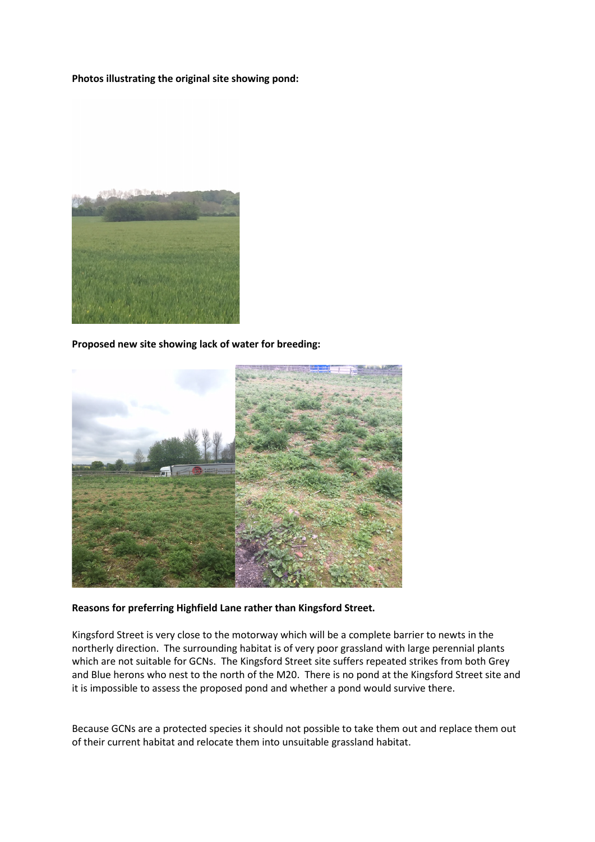**Photos illustrating the original site showing pond:**



**Proposed new site showing lack of water for breeding:**



## **Reasons for preferring Highfield Lane rather than Kingsford Street.**

Kingsford Street is very close to the motorway which will be a complete barrier to newts in the northerly direction. The surrounding habitat is of very poor grassland with large perennial plants which are not suitable for GCNs. The Kingsford Street site suffers repeated strikes from both Grey and Blue herons who nest to the north of the M20. There is no pond at the Kingsford Street site and it is impossible to assess the proposed pond and whether a pond would survive there.

Because GCNs are a protected species it should not possible to take them out and replace them out of their current habitat and relocate them into unsuitable grassland habitat.